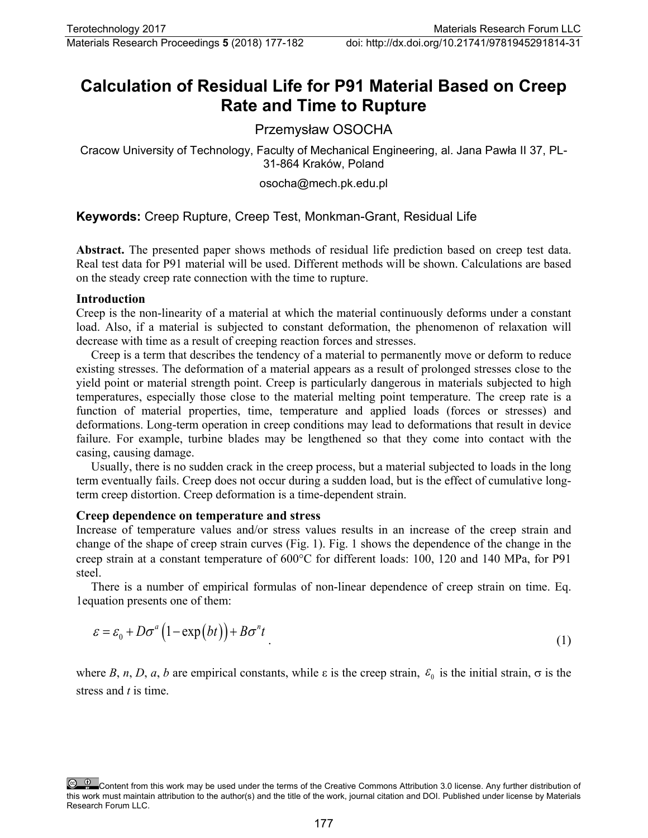# **Calculation of Residual Life for P91 Material Based on Creep Rate and Time to Rupture**

Przemysław OSOCHA

Cracow University of Technology, Faculty of Mechanical Engineering, al. Jana Pawła II 37, PL-31-864 Kraków, Poland

osocha@mech.pk.edu.pl

# **Keywords:** Creep Rupture, Creep Test, Monkman-Grant, Residual Life

**Abstract.** The presented paper shows methods of residual life prediction based on creep test data. Real test data for P91 material will be used. Different methods will be shown. Calculations are based on the steady creep rate connection with the time to rupture.

## **Introduction**

Creep is the non-linearity of a material at which the material continuously deforms under a constant load. Also, if a material is subjected to constant deformation, the phenomenon of relaxation will decrease with time as a result of creeping reaction forces and stresses.

Creep is a term that describes the tendency of a material to permanently move or deform to reduce existing stresses. The deformation of a material appears as a result of prolonged stresses close to the yield point or material strength point. Creep is particularly dangerous in materials subjected to high temperatures, especially those close to the material melting point temperature. The creep rate is a function of material properties, time, temperature and applied loads (forces or stresses) and deformations. Long-term operation in creep conditions may lead to deformations that result in device failure. For example, turbine blades may be lengthened so that they come into contact with the casing, causing damage.

Usually, there is no sudden crack in the creep process, but a material subjected to loads in the long term eventually fails. Creep does not occur during a sudden load, but is the effect of cumulative longterm creep distortion. Creep deformation is a time-dependent strain.

## **Creep dependence on temperature and stress**

Increase of temperature values and/or stress values results in an increase of the creep strain and change of the shape of creep strain curves (Fig. 1). Fig. 1 shows the dependence of the change in the creep strain at a constant temperature of 600°C for different loads: 100, 120 and 140 MPa, for P91 steel.

There is a number of empirical formulas of non-linear dependence of creep strain on time. Eq. 1equation presents one of them:

$$
\varepsilon = \varepsilon_0 + D\sigma^a \left( 1 - \exp\left(bt\right) \right) + B\sigma^a t \tag{1}
$$

where *B*, *n*, *D*, *a*, *b* are empirical constants, while  $\varepsilon$  is the creep strain,  $\varepsilon$ <sub>0</sub> is the initial strain,  $\sigma$  is the stress and *t* is time.

Content from this work may be used under the terms of the Creative Commons Attribution 3.0 license. Any further distribution of this work must maintain attribution to the author(s) and the title of the work, journal citation and DOI. Published under license by Materials Research Forum LLC.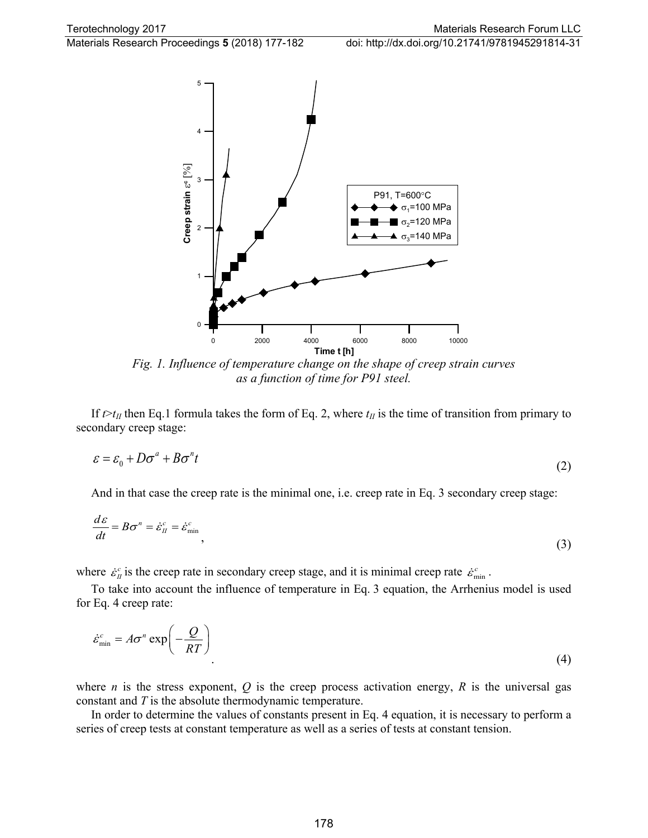Materials Research Proceedings **5** (2018) 177-182 doi: http://dx.doi.org/10.21741/9781945291814-31



*Fig. 1. Influence of temperature change on the shape of creep strain curves as a function of time for P91 steel.*

If  $t > t<sub>II</sub>$  then Eq.1 formula takes the form of Eq. 2, where  $t<sub>II</sub>$  is the time of transition from primary to secondary creep stage:

$$
\varepsilon = \varepsilon_0 + D\sigma^a + B\sigma^a t \tag{2}
$$

And in that case the creep rate is the minimal one, i.e. creep rate in Eq. 3 secondary creep stage:

$$
\frac{d\varepsilon}{dt} = B\sigma^n = \dot{\varepsilon}_{II}^c = \dot{\varepsilon}_{\min}^c \tag{3}
$$

where  $\dot{\varepsilon}_n^c$  is the creep rate in secondary creep stage, and it is minimal creep rate  $\dot{\varepsilon}_{\text{min}}^c$ .

To take into account the influence of temperature in Eq. 3 equation, the Arrhenius model is used for Eq. 4 creep rate:

$$
\dot{\varepsilon}_{\min}^c = A\sigma^n \exp\left(-\frac{Q}{RT}\right) \tag{4}
$$

where *n* is the stress exponent,  $Q$  is the creep process activation energy,  $R$  is the universal gas constant and *T* is the absolute thermodynamic temperature.

In order to determine the values of constants present in Eq. 4 equation, it is necessary to perform a series of creep tests at constant temperature as well as a series of tests at constant tension.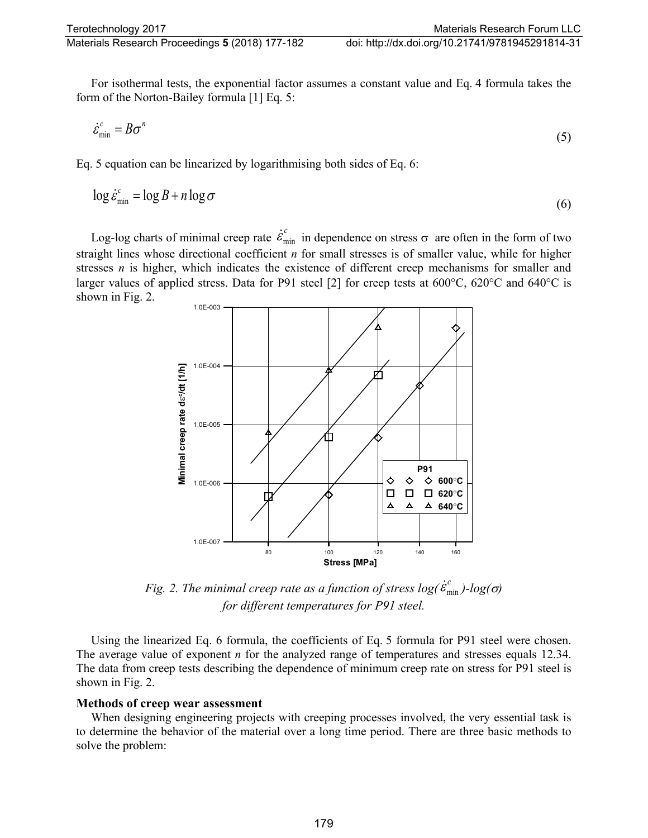For isothermal tests, the exponential factor assumes a constant value and Eq. 4 formula takes the form of the Norton-Bailey formula [1] Eq. 5:

$$
\dot{\varepsilon}^c_{\min} = B\sigma^n \tag{5}
$$

Eq. 5 equation can be linearized by logarithmising both sides of Eq. 6:

$$
\log \dot{\varepsilon}_{\min}^c = \log B + n \log \sigma \tag{6}
$$

Log-log charts of minimal creep rate  $\dot{\varepsilon}^c_{min}$  in dependence on stress  $\sigma$  are often in the form of two straight lines whose directional coefficient *n* for small stresses is of smaller value, while for higher stresses *n* is higher, which indicates the existence of different creep mechanisms for smaller and larger values of applied stress. Data for P91 steel [2] for creep tests at 600°C, 620°C and 640°C is shown in Fig. 2.



*Fig.* 2. The minimal creep rate as a function of stress  $log(\dot{\varepsilon}_{min}^c)$ - $log(\sigma)$ *for different temperatures for P91 steel.*

Using the linearized Eq. 6 formula, the coefficients of Eq. 5 formula for P91 steel were chosen. The average value of exponent *n* for the analyzed range of temperatures and stresses equals 12.34. The data from creep tests describing the dependence of minimum creep rate on stress for P91 steel is shown in Fig. 2.

#### **Methods of creep wear assessment**

When designing engineering projects with creeping processes involved, the very essential task is to determine the behavior of the material over a long time period. There are three basic methods to solve the problem: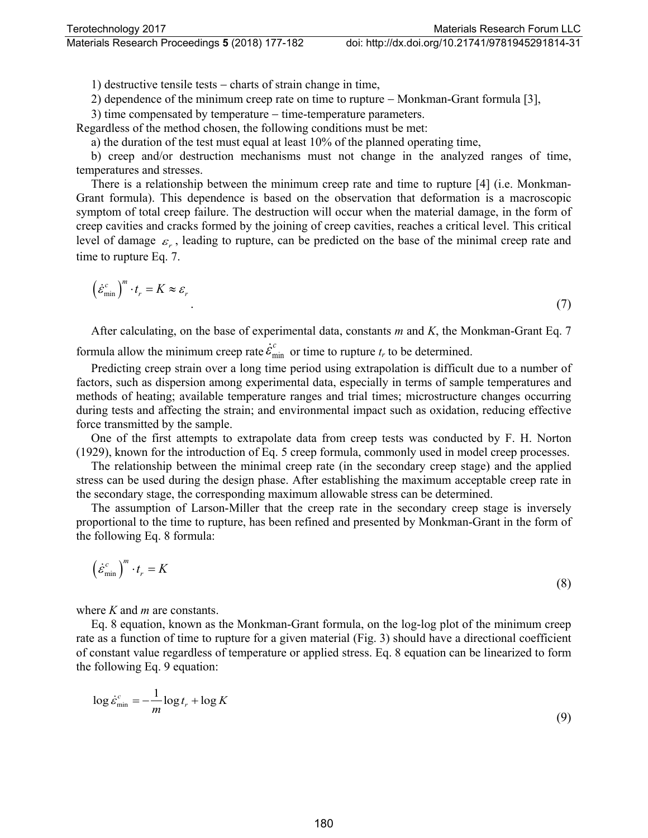1) destructive tensile tests − charts of strain change in time,

2) dependence of the minimum creep rate on time to rupture − Monkman-Grant formula [3],

3) time compensated by temperature − time-temperature parameters.

Regardless of the method chosen, the following conditions must be met:

a) the duration of the test must equal at least 10% of the planned operating time,

b) creep and/or destruction mechanisms must not change in the analyzed ranges of time, temperatures and stresses.

There is a relationship between the minimum creep rate and time to rupture [4] (i.e. Monkman-Grant formula). This dependence is based on the observation that deformation is a macroscopic symptom of total creep failure. The destruction will occur when the material damage, in the form of creep cavities and cracks formed by the joining of creep cavities, reaches a critical level. This critical level of damage  $\varepsilon_r$ , leading to rupture, can be predicted on the base of the minimal creep rate and time to rupture Eq. 7.

$$
\left(\dot{\varepsilon}_{\min}^c\right)^m \cdot t_r = K \approx \varepsilon_r \tag{7}
$$

After calculating, on the base of experimental data, constants *m* and *K*, the Monkman-Grant Eq. 7 formula allow the minimum creep rate  $\dot{\varepsilon}^c_{min}$  or time to rupture  $t_r$  to be determined.

Predicting creep strain over a long time period using extrapolation is difficult due to a number of factors, such as dispersion among experimental data, especially in terms of sample temperatures and methods of heating; available temperature ranges and trial times; microstructure changes occurring during tests and affecting the strain; and environmental impact such as oxidation, reducing effective force transmitted by the sample.

One of the first attempts to extrapolate data from creep tests was conducted by F. H. Norton (1929), known for the introduction of Eq. 5 creep formula, commonly used in model creep processes.

The relationship between the minimal creep rate (in the secondary creep stage) and the applied stress can be used during the design phase. After establishing the maximum acceptable creep rate in the secondary stage, the corresponding maximum allowable stress can be determined.

The assumption of Larson-Miller that the creep rate in the secondary creep stage is inversely proportional to the time to rupture, has been refined and presented by Monkman-Grant in the form of the following Eq. 8 formula:

$$
\left(\dot{\varepsilon}_{\min}^c\right)^m \cdot t_r = K \tag{8}
$$

where *K* and *m* are constants.

Eq. 8 equation, known as the Monkman-Grant formula, on the log-log plot of the minimum creep rate as a function of time to rupture for a given material (Fig. 3) should have a directional coefficient of constant value regardless of temperature or applied stress. Eq. 8 equation can be linearized to form the following Eq. 9 equation:

$$
\log \dot{\varepsilon}_{\min}^c = -\frac{1}{m} \log t_r + \log K \tag{9}
$$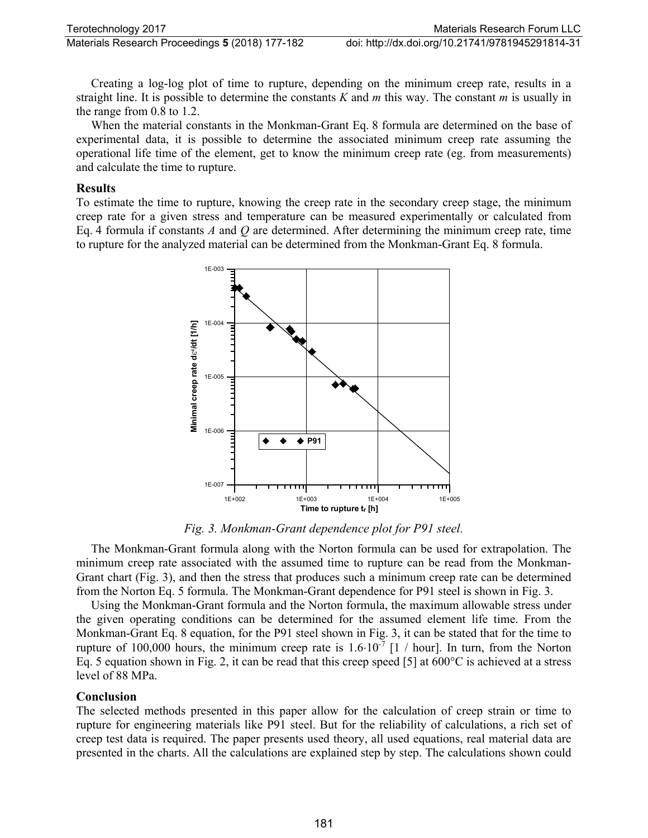Creating a log-log plot of time to rupture, depending on the minimum creep rate, results in a straight line. It is possible to determine the constants *K* and *m* this way. The constant *m* is usually in the range from 0.8 to 1.2.

When the material constants in the Monkman-Grant Eq. 8 formula are determined on the base of experimental data, it is possible to determine the associated minimum creep rate assuming the operational life time of the element, get to know the minimum creep rate (eg. from measurements) and calculate the time to rupture.

#### **Results**

To estimate the time to rupture, knowing the creep rate in the secondary creep stage, the minimum creep rate for a given stress and temperature can be measured experimentally or calculated from Eq. 4 formula if constants *A* and *Q* are determined. After determining the minimum creep rate, time to rupture for the analyzed material can be determined from the Monkman-Grant Eq. 8 formula.



*Fig. 3. Monkman-Grant dependence plot for P91 steel.*

The Monkman-Grant formula along with the Norton formula can be used for extrapolation. The minimum creep rate associated with the assumed time to rupture can be read from the Monkman-Grant chart (Fig. 3), and then the stress that produces such a minimum creep rate can be determined from the Norton Eq. 5 formula. The Monkman-Grant dependence for P91 steel is shown in Fig. 3.

Using the Monkman-Grant formula and the Norton formula, the maximum allowable stress under the given operating conditions can be determined for the assumed element life time. From the Monkman-Grant Eq. 8 equation, for the P91 steel shown in Fig. 3, it can be stated that for the time to rupture of 100,000 hours, the minimum creep rate is  $1.6 \cdot 10^{-7}$  [1 / hour]. In turn, from the Norton Eq. 5 equation shown in Fig. 2, it can be read that this creep speed [5] at 600°C is achieved at a stress level of 88 MPa.

## **Conclusion**

The selected methods presented in this paper allow for the calculation of creep strain or time to rupture for engineering materials like P91 steel. But for the reliability of calculations, a rich set of creep test data is required. The paper presents used theory, all used equations, real material data are presented in the charts. All the calculations are explained step by step. The calculations shown could